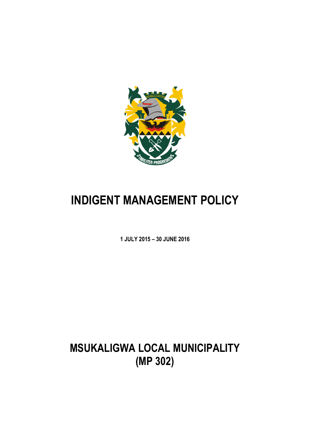

# **INDIGENT MANAGEMENT POLICY**

**1 JULY 2015 – 30 JUNE 2016**

**MSUKALIGWA LOCAL MUNICIPALITY (MP 302)**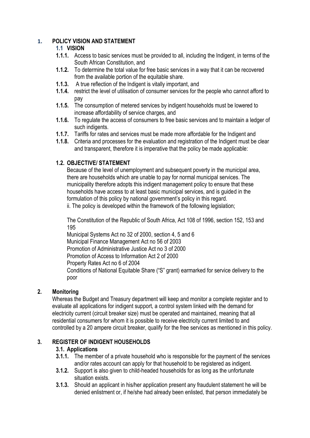## **1. POLICY VISION AND STATEMENT**

## **1.1 VISION**

- **1.1.1.** Access to basic services must be provided to all, including the Indigent, in terms of the South African Constitution, and
- **1.1.2.** To determine the total value for free basic services in a way that it can be recovered from the available portion of the equitable share.
- **1.1.3.** A true reflection of the Indigent is vitally important, and
- **1.1.4.** restrict the level of utilisation of consumer services for the people who cannot afford to pay
- **1.1.5.** The consumption of metered services by indigent households must be lowered to increase affordability of service charges, and
- **1.1.6.** To regulate the access of consumers to free basic services and to maintain a ledger of such indigents.
- **1.1.7.** Tariffs for rates and services must be made more affordable for the Indigent and
- **1.1.8.** Criteria and processes for the evaluation and registration of the Indigent must be clear and transparent, therefore it is imperative that the policy be made applicable:

## **1.2. OBJECTIVE/ STATEMENT**

Because of the level of unemployment and subsequent poverty in the municipal area, there are households which are unable to pay for normal municipal services. The municipality therefore adopts this indigent management policy to ensure that these households have access to at least basic municipal services, and is guided in the formulation of this policy by national government's policy in this regard.

ii. The policy is developed within the framework of the following legislation;

The Constitution of the Republic of South Africa, Act 108 of 1996, section 152, 153 and 195

Municipal Systems Act no 32 of 2000, section 4, 5 and 6 Municipal Finance Management Act no 56 of 2003 Promotion of Administrative Justice Act no 3 of 2000 Promotion of Access to Information Act 2 of 2000 Property Rates Act no 6 of 2004 Conditions of National Equitable Share ("S" grant) earmarked for service delivery to the poor

## **2. Monitoring**

Whereas the Budget and Treasury department will keep and monitor a complete register and to evaluate all applications for indigent support, a control system linked with the demand for electricity current (circuit breaker size) must be operated and maintained, meaning that all residential consumers for whom it is possible to receive electricity current limited to and controlled by a 20 ampere circuit breaker, qualify for the free services as mentioned in this policy.

## **3. REGISTER OF INDIGENT HOUSEHOLDS**

## **3.1. Applications**

- **3.1.1.** The member of a private household who is responsible for the payment of the services and/or rates account can apply for that household to be registered as indigent.
- **3.1.2.** Support is also given to child-headed households for as long as the unfortunate situation exists.
- **3.1.3.** Should an applicant in his/her application present any fraudulent statement he will be denied enlistment or, if he/she had already been enlisted, that person immediately be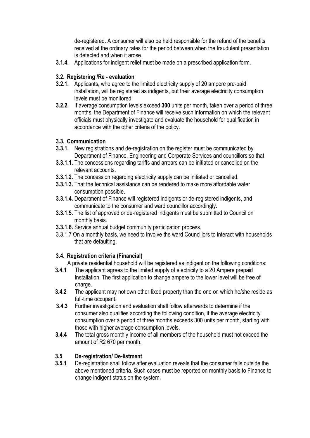de-registered. A consumer will also be held responsible for the refund of the benefits received at the ordinary rates for the period between when the fraudulent presentation is detected and when it arose.

**3.1.4.** Applications for indigent relief must be made on a prescribed application form.

## **3.2. Registering /Re - evaluation**

- **3.2.1.** Applicants, who agree to the limited electricity supply of 20 ampere pre-paid installation, will be registered as indigents, but their average electricity consumption levels must be monitored.
- **3.2.2.** If average consumption levels exceed **300** units per month, taken over a period of three months, the Department of Finance will receive such information on which the relevant officials must physically investigate and evaluate the household for qualification in accordance with the other criteria of the policy.

## **3.3. Communication**

- **3.3.1.** New registrations and de-registration on the register must be communicated by Department of Finance, Engineering and Corporate Services and councillors so that
- **3.3.1.1.** The concessions regarding tariffs and arrears can be initiated or cancelled on the relevant accounts.
- **3.3.1.2.** The concession regarding electricity supply can be initiated or cancelled.
- **3.3.1.3.** That the technical assistance can be rendered to make more affordable water consumption possible.
- **3.3.1.4.** Department of Finance will registered indigents or de-registered indigents, and communicate to the consumer and ward councillor accordingly.
- **3.3.1.5.** The list of approved or de-registered indigents must be submitted to Council on monthly basis.
- **3.3.1.6.** Service annual budget community participation process.
- 3.3.1.7 On a monthly basis, we need to involve the ward Councillors to interact with households that are defaulting.

## **3.4. Registration criteria (Financial)**

A private residential household will be registered as indigent on the following conditions:

- **3.4.1** The applicant agrees to the limited supply of electricity to a 20 Ampere prepaid installation. The first application to change ampere to the lower level will be free of charge.
- **3.4.2** The applicant may not own other fixed property than the one on which he/she reside as full-time occupant.
- **3.4.3** Further investigation and evaluation shall follow afterwards to determine if the consumer also qualifies according the following condition, if the average electricity consumption over a period of three months exceeds 300 units per month, starting with those with higher average consumption levels.
- **3.4.4** The total gross monthly income of all members of the household must not exceed the amount of R2 670 per month.

## **3.5 De-registration/ De-listment**

**3.5.1** De-registration shall follow after evaluation reveals that the consumer falls outside the above mentioned criteria. Such cases must be reported on monthly basis to Finance to change indigent status on the system.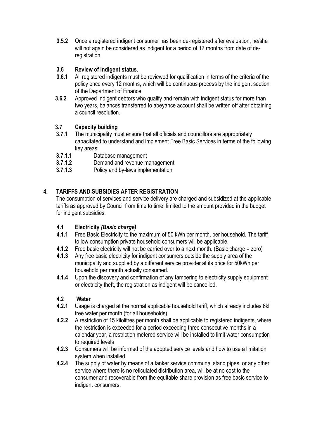**3.5.2** Once a registered indigent consumer has been de-registered after evaluation, he/she will not again be considered as indigent for a period of 12 months from date of deregistration.

## **3.6 Review of indigent status.**

- **3.6.1** All registered indigents must be reviewed for qualification in terms of the criteria of the policy once every 12 months, which will be continuous process by the indigent section of the Department of Finance.
- **3.6.2** Approved Indigent debtors who qualify and remain with indigent status for more than two years, balances transferred to abeyance account shall be written off after obtaining a council resolution.

## **3.7 Capacity building**

- **3.7.1** The municipality must ensure that all officials and councillors are appropriately capacitated to understand and implement Free Basic Services in terms of the following key areas:
- **3.7.1.1** Database management
- **3.7.1.2** Demand and revenue management
- **3.7.1.3** Policy and by-laws implementation

## **4. TARIFFS AND SUBSIDIES AFTER REGISTRATION**

The consumption of services and service delivery are charged and subsidized at the applicable tariffs as approved by Council from time to time, limited to the amount provided in the budget for indigent subsidies.

#### **4.1 Electricity** *(Basic charge)*

- **4.1.1** Free Basic Electricity to the maximum of 50 kWh per month, per household. The tariff to low consumption private household consumers will be applicable.
- **4.1.2** Free basic electricity will not be carried over to a next month. (Basic charge = zero)
- **4.1.3** Any free basic electricity for indigent consumers outside the supply area of the municipality and supplied by a different service provider at its price for 50kWh per household per month actually consumed.
- **4.1.4** Upon the discovery and confirmation of any tampering to electricity supply equipment or electricity theft, the registration as indigent will be cancelled.

## **4.2 Water**

- **4.2.1** Usage is charged at the normal applicable household tariff, which already includes 6kl free water per month (for all households).
- **4.2.2** A restriction of 15 kilolitres per month shall be applicable to registered indigents, where the restriction is exceeded for a period exceeding three consecutive months in a calendar year, a restriction metered service will be installed to limit water consumption to required levels
- **4.2.3** Consumers will be informed of the adopted service levels and how to use a limitation system when installed.
- **4.2.4** The supply of water by means of a tanker service communal stand pipes, or any other service where there is no reticulated distribution area, will be at no cost to the consumer and recoverable from the equitable share provision as free basic service to indigent consumers.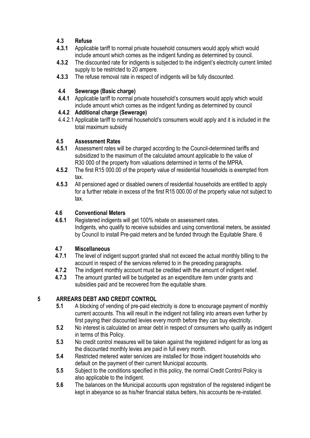## **4.3 Refuse**

- **4.3.1** Applicable tariff to normal private household consumers would apply which would include amount which comes as the indigent funding as determined by council.
- **4.3.2** The discounted rate for indigents is subjected to the indigent's electricity current limited supply to be restricted to 20 ampere.
- **4.3.3** The refuse removal rate in respect of indigents will be fully discounted.

## **4.4 Sewerage (Basic charge)**

**4.4.1** Applicable tariff to normal private household's consumers would apply which would include amount which comes as the indigent funding as determined by council

## **4.4.2 Additional charge (Sewerage)**

4.4.2.1 Applicable tariff to normal household's consumers would apply and it is included in the total maximum subsidy

## **4.5 Assessment Rates**

- **4.5.1** Assessment rates will be charged according to the Council-determined tariffs and subsidized to the maximum of the calculated amount applicable to the value of R30 000 of the property from valuations determined in terms of the MPRA.
- **4.5.2** The first R15 000.00 of the property value of residential households is exempted from tax.
- **4.5.3** All pensioned aged or disabled owners of residential households are entitled to apply for a further rebate in excess of the first R15 000.00 of the property value not subject to tax.

## **4.6 Conventional Meters**

**4.6.1** Registered indigents will get 100% rebate on assessment rates. Indigents, who qualify to receive subsidies and using conventional meters, be assisted by Council to install Pre-paid meters and be funded through the Equitable Share. 6

## **4.7 Miscellaneous**

- **4.7.1** The level of indigent support granted shall not exceed the actual monthly billing to the account in respect of the services referred to in the preceding paragraphs.
- **4.7.2** The indigent monthly account must be credited with the amount of indigent relief.
- **4.7.3** The amount granted will be budgeted as an expenditure item under grants and subsidies paid and be recovered from the equitable share.

## **5 ARREARS DEBT AND CREDIT CONTROL**

- **5.1** A blocking of vending of pre-paid electricity is done to encourage payment of monthly current accounts. This will result in the indigent not falling into arrears even further by first paying their discounted levies every month before they can buy electricity.
- **5.2** No interest is calculated on arrear debt in respect of consumers who qualify as indigent in terms of this Policy.
- **5.3** No credit control measures will be taken against the registered indigent for as long as the discounted monthly levies are paid in full every month.
- **5.4** Restricted metered water services are installed for those indigent households who default on the payment of their current Municipal accounts.
- **5.5** Subject to the conditions specified in this policy, the normal Credit Control Policy is also applicable to the Indigent.
- **5.6** The balances on the Municipal accounts upon registration of the registered indigent be kept in abeyance so as his/her financial status betters, his accounts be re-instated.